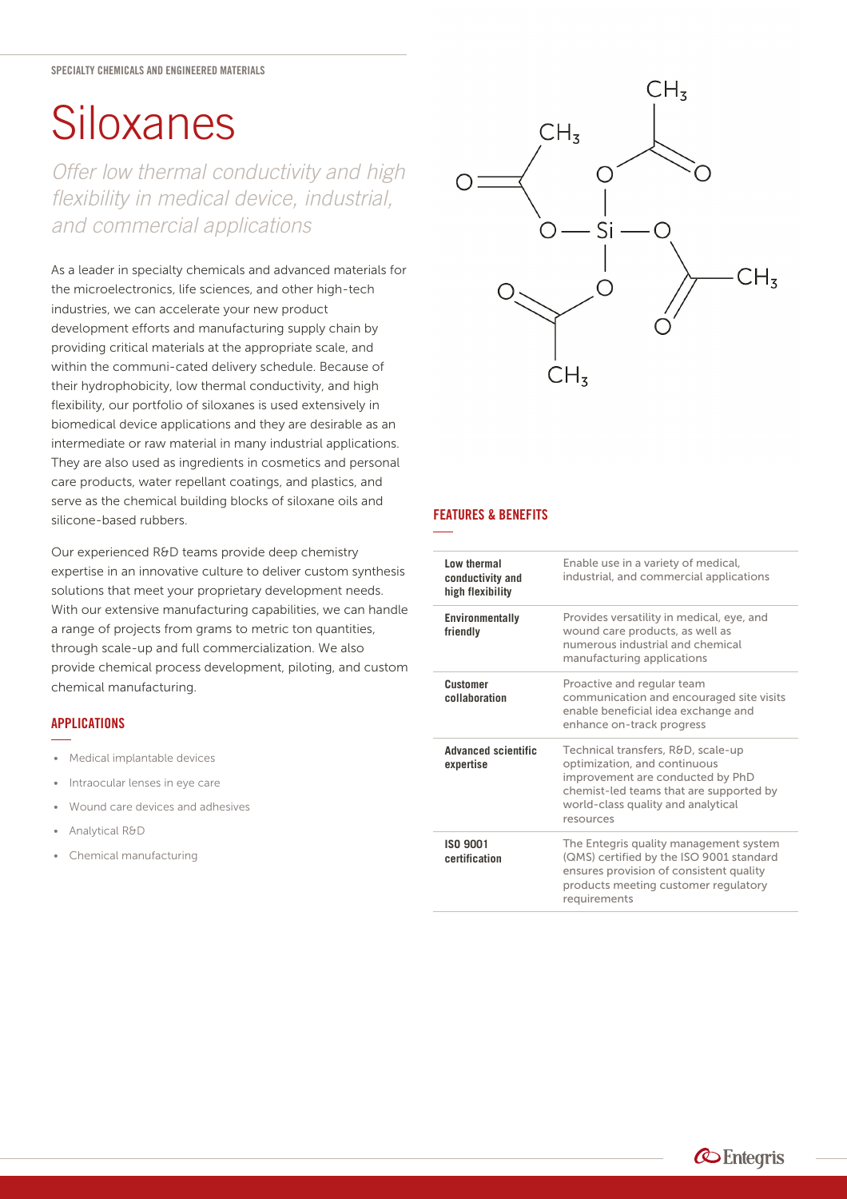# **[Siloxanes](https://www.entegris.com/shop/en/USD/products/chemistries/specialty-chemicals/siloxanes/Siloxanes/p/Siloxanes)**

*Offer low thermal conductivity and high flexibility in medical device, industrial, and commercial applications*

As a leader in specialty chemicals and advanced materials for the microelectronics, life sciences, and other high-tech industries, we can accelerate your new product development efforts and manufacturing supply chain by providing critical materials at the appropriate scale, and within the communi-cated delivery schedule. Because of their hydrophobicity, low thermal conductivity, and high flexibility, our portfolio of siloxanes is used extensively in biomedical device applications and they are desirable as an intermediate or raw material in many industrial applications. They are also used as ingredients in cosmetics and personal care products, water repellant coatings, and plastics, and serve as the chemical building blocks of siloxane oils and silicone-based rubbers.

Our experienced R&D teams provide deep chemistry expertise in an innovative culture to deliver custom synthesis solutions that meet your proprietary development needs. With our extensive manufacturing capabilities, we can handle a range of projects from grams to metric ton quantities, through scale-up and full commercialization. We also provide chemical process development, piloting, and custom chemical manufacturing.

## **APPLICATIONS**

- Medical implantable devices
- Intraocular lenses in eye care
- Wound care devices and adhesives
- Analytical R&D
- Chemical manufacturing



# **FEATURES & BENEFITS**

| Low thermal<br>conductivity and<br>high flexibility | Enable use in a variety of medical,<br>industrial, and commercial applications                                                                                                                       |
|-----------------------------------------------------|------------------------------------------------------------------------------------------------------------------------------------------------------------------------------------------------------|
| Environmentally<br>friendly                         | Provides versatility in medical, eye, and<br>wound care products, as well as<br>numerous industrial and chemical<br>manufacturing applications                                                       |
| <b>Customer</b><br>collaboration                    | Proactive and regular team<br>communication and encouraged site visits<br>enable beneficial idea exchange and<br>enhance on-track progress                                                           |
| <b>Advanced scientific</b><br>expertise             | Technical transfers, R&D, scale-up<br>optimization, and continuous<br>improvement are conducted by PhD<br>chemist-led teams that are supported by<br>world-class quality and analytical<br>resources |
| ISO 9001<br>certification                           | The Entegris quality management system<br>(QMS) certified by the ISO 9001 standard<br>ensures provision of consistent quality<br>products meeting customer regulatory<br>requirements                |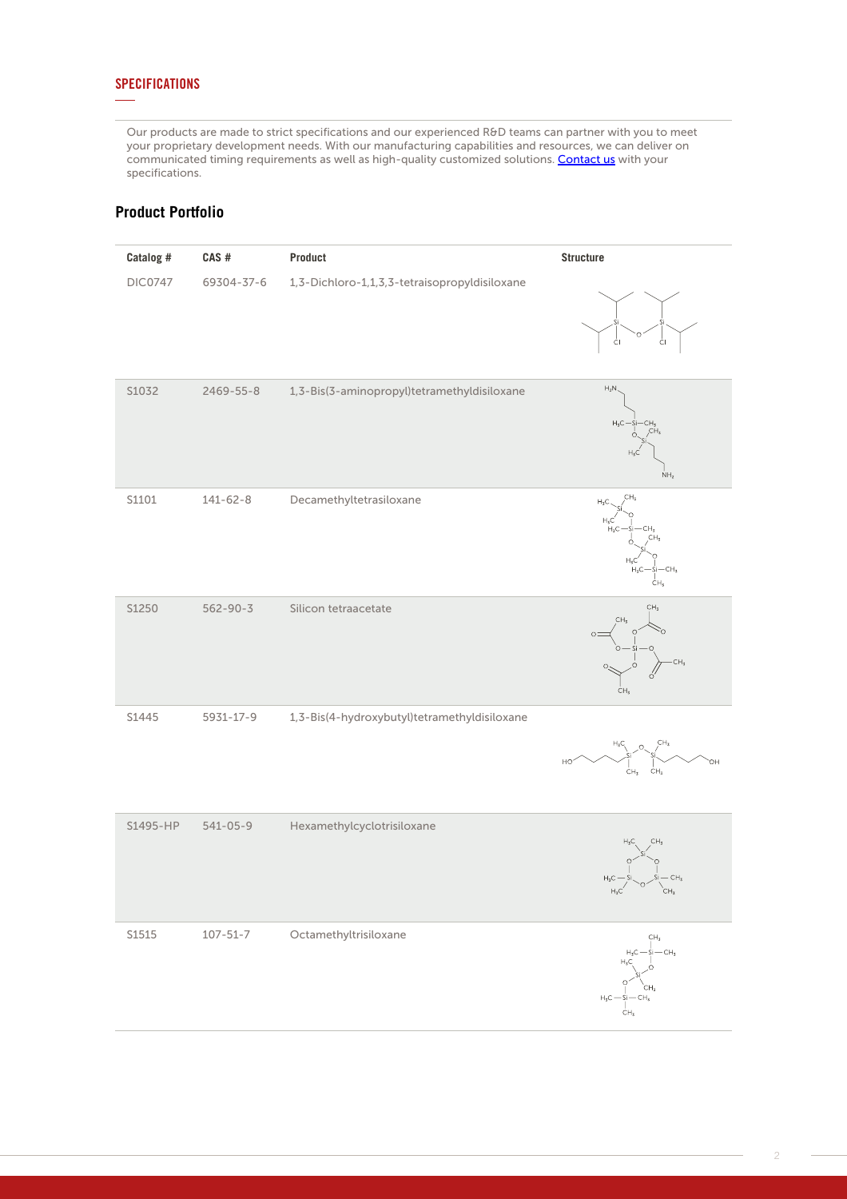# **SPECIFICATIONS**

Our products are made to strict specifications and our experienced R&D teams can partner with you to meet your proprietary development needs. With our manufacturing capabilities and resources, we can deliver on communicated timing requirements as well as high-quality customized solutions. [Contact us](https://www.entegris.com/en/home/customer-service/contact-us.html) with your specifications.

# **Product Portfolio**

| Catalog #      | CAS#           | Product                                       | <b>Structure</b>                                                                                               |
|----------------|----------------|-----------------------------------------------|----------------------------------------------------------------------------------------------------------------|
| <b>DIC0747</b> | 69304-37-6     | 1,3-Dichloro-1,1,3,3-tetraisopropyldisiloxane | ĊI<br>ĊI                                                                                                       |
| S1032          | 2469-55-8      | 1,3-Bis(3-aminopropyl)tetramethyldisiloxane   | $\mathsf{H}_2\mathsf{N}$<br>$\mathsf{H}_3\mathsf{C}$<br>CH.<br>$H_3C$<br>NH <sub>2</sub>                       |
| S1101          | $141 - 62 - 8$ | Decamethyltetrasiloxane                       | CH <sub>3</sub><br>$H_3C$<br>$H_3C$<br>$H_3C$<br>CH,<br>$Hz$ C<br>$H_3C$<br>CH <sub>3</sub><br>ĊН <sub>з</sub> |
| S1250          | $562 - 90 - 3$ | Silicon tetraacetate                          | CH <sub>3</sub><br>CH <sub>3</sub><br>Ο<br>CH <sub>3</sub>                                                     |
| S1445          | 5931-17-9      | 1,3-Bis(4-hydroxybutyl)tetramethyldisiloxane  | CH <sub>3</sub><br>$H_3C_1$<br>HO<br>ОH<br>CH <sub>3</sub><br>CH <sub>3</sub>                                  |
| S1495-HP       | $541 - 05 - 9$ | Hexamethylcyclotrisiloxane                    | CH <sub>3</sub><br>$H_{\tau}C$<br>$H_3C$<br>$H_3C^{'}$<br>CH <sub>3</sub>                                      |
| S1515          | $107 - 51 - 7$ | Octamethyltrisiloxane                         | $\mathbb{CH}_3$<br>$\dot{S}$ i — CH <sub>3</sub><br>H7C<br>$H_3C$ - Si<br>ĊΗ <sub>3</sub>                      |

2